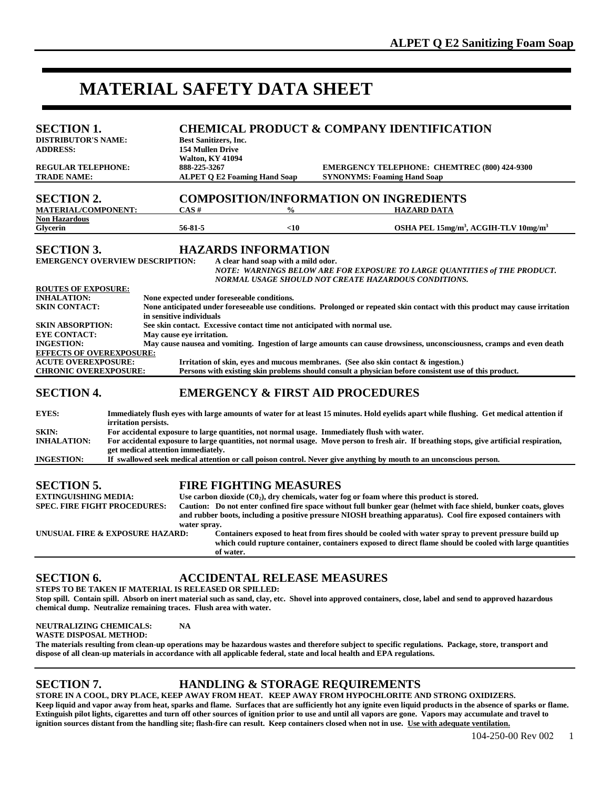# **MATERIAL SAFETY DATA SHEET**

| <b>SECTION 1.</b><br><b>DISTRIBUTOR'S NAME:</b><br><b>ADDRESS:</b><br><b>REGULAR TELEPHONE:</b><br><b>TRADE NAME:</b>                                                                                                                                                                                                                                                                                                                                                                                                                                                                                                                                                                                                                                                                                                                                                                                                                                                                                                                                                                                                                                                    |  | <b>Best Sanitizers, Inc.</b><br><b>154 Mullen Drive</b><br><b>Walton, KY 41094</b><br>888-225-3267<br><b>ALPET Q E2 Foaming Hand Soap</b>                                                                                                                                                                                                                                                                                     |                               | <b>CHEMICAL PRODUCT &amp; COMPANY IDENTIFICATION</b><br><b>EMERGENCY TELEPHONE: CHEMTREC (800) 424-9300</b><br><b>SYNONYMS: Foaming Hand Soap</b>                                                                                                                                                                                                                                                                                                                                                                                                     |  |
|--------------------------------------------------------------------------------------------------------------------------------------------------------------------------------------------------------------------------------------------------------------------------------------------------------------------------------------------------------------------------------------------------------------------------------------------------------------------------------------------------------------------------------------------------------------------------------------------------------------------------------------------------------------------------------------------------------------------------------------------------------------------------------------------------------------------------------------------------------------------------------------------------------------------------------------------------------------------------------------------------------------------------------------------------------------------------------------------------------------------------------------------------------------------------|--|-------------------------------------------------------------------------------------------------------------------------------------------------------------------------------------------------------------------------------------------------------------------------------------------------------------------------------------------------------------------------------------------------------------------------------|-------------------------------|-------------------------------------------------------------------------------------------------------------------------------------------------------------------------------------------------------------------------------------------------------------------------------------------------------------------------------------------------------------------------------------------------------------------------------------------------------------------------------------------------------------------------------------------------------|--|
| <b>SECTION 2.</b><br><b>MATERIAL/COMPONENT:</b>                                                                                                                                                                                                                                                                                                                                                                                                                                                                                                                                                                                                                                                                                                                                                                                                                                                                                                                                                                                                                                                                                                                          |  | CAS#                                                                                                                                                                                                                                                                                                                                                                                                                          | $\frac{0}{0}$                 | <b>COMPOSITION/INFORMATION ON INGREDIENTS</b><br><b>HAZARD DATA</b>                                                                                                                                                                                                                                                                                                                                                                                                                                                                                   |  |
| <b>Non Hazardous</b><br><b>Glycerin</b>                                                                                                                                                                                                                                                                                                                                                                                                                                                                                                                                                                                                                                                                                                                                                                                                                                                                                                                                                                                                                                                                                                                                  |  | 56-81-5                                                                                                                                                                                                                                                                                                                                                                                                                       | $<$ 10                        | OSHA PEL 15mg/m <sup>3</sup> , ACGIH-TLV 10mg/m <sup>3</sup>                                                                                                                                                                                                                                                                                                                                                                                                                                                                                          |  |
| <b>SECTION 3.</b><br><b>HAZARDS INFORMATION</b><br><b>EMERGENCY OVERVIEW DESCRIPTION:</b><br>A clear hand soap with a mild odor.<br>NOTE: WARNINGS BELOW ARE FOR EXPOSURE TO LARGE QUANTITIES of THE PRODUCT.<br>NORMAL USAGE SHOULD NOT CREATE HAZARDOUS CONDITIONS.<br><b>ROUTES OF EXPOSURE:</b><br><b>INHALATION:</b><br>None expected under foreseeable conditions.<br><b>SKIN CONTACT:</b><br>None anticipated under foreseeable use conditions. Prolonged or repeated skin contact with this product may cause irritation<br>in sensitive individuals<br>See skin contact. Excessive contact time not anticipated with normal use.<br><b>SKIN ABSORPTION:</b><br><b>EYE CONTACT:</b><br>May cause eye irritation.<br>May cause nausea and vomiting. Ingestion of large amounts can cause drowsiness, unconsciousness, cramps and even death<br><b>INGESTION:</b><br><b>EFFECTS OF OVEREXPOSURE:</b><br><b>ACUTE OVEREXPOSURE:</b><br>Irritation of skin, eyes and mucous membranes. (See also skin contact & ingestion.)<br><b>CHRONIC OVEREXPOSURE:</b><br>Persons with existing skin problems should consult a physician before consistent use of this product. |  |                                                                                                                                                                                                                                                                                                                                                                                                                               |                               |                                                                                                                                                                                                                                                                                                                                                                                                                                                                                                                                                       |  |
| <b>SECTION 4.</b>                                                                                                                                                                                                                                                                                                                                                                                                                                                                                                                                                                                                                                                                                                                                                                                                                                                                                                                                                                                                                                                                                                                                                        |  |                                                                                                                                                                                                                                                                                                                                                                                                                               |                               | <b>EMERGENCY &amp; FIRST AID PROCEDURES</b>                                                                                                                                                                                                                                                                                                                                                                                                                                                                                                           |  |
| <b>EYES:</b>                                                                                                                                                                                                                                                                                                                                                                                                                                                                                                                                                                                                                                                                                                                                                                                                                                                                                                                                                                                                                                                                                                                                                             |  |                                                                                                                                                                                                                                                                                                                                                                                                                               |                               | Immediately flush eyes with large amounts of water for at least 15 minutes. Hold eyelids apart while flushing. Get medical attention if                                                                                                                                                                                                                                                                                                                                                                                                               |  |
| <b>SKIN:</b><br><b>INHALATION:</b><br><b>INGESTION:</b>                                                                                                                                                                                                                                                                                                                                                                                                                                                                                                                                                                                                                                                                                                                                                                                                                                                                                                                                                                                                                                                                                                                  |  | irritation persists.<br>For accidental exposure to large quantities, not normal usage. Immediately flush with water.<br>For accidental exposure to large quantities, not normal usage. Move person to fresh air. If breathing stops, give artificial respiration,<br>get medical attention immediately.<br>If swallowed seek medical attention or call poison control. Never give anything by mouth to an unconscious person. |                               |                                                                                                                                                                                                                                                                                                                                                                                                                                                                                                                                                       |  |
| <b>SECTION 5.</b><br><b>EXTINGUISHING MEDIA:</b><br><b>SPEC. FIRE FIGHT PROCEDURES:</b><br>UNUSUAL FIRE & EXPOSURE HAZARD:                                                                                                                                                                                                                                                                                                                                                                                                                                                                                                                                                                                                                                                                                                                                                                                                                                                                                                                                                                                                                                               |  | water spray.<br>of water.                                                                                                                                                                                                                                                                                                                                                                                                     | <b>FIRE FIGHTING MEASURES</b> | Use carbon dioxide $(C02)$ , dry chemicals, water fog or foam where this product is stored.<br>Caution: Do not enter confined fire space without full bunker gear (helmet with face shield, bunker coats, gloves<br>and rubber boots, including a positive pressure NIOSH breathing apparatus). Cool fire exposed containers with<br>Containers exposed to heat from fires should be cooled with water spray to prevent pressure build up<br>which could rupture container, containers exposed to direct flame should be cooled with large quantities |  |

## **SECTION 6. ACCIDENTAL RELEASE MEASURES**

**STEPS TO BE TAKEN IF MATERIAL IS RELEASED OR SPILLED: Stop spill. Contain spill. Absorb on inert material such as sand, clay, etc. Shovel into approved containers, close, label and send to approved hazardous chemical dump. Neutralize remaining traces. Flush area with water.** 

**NEUTRALIZING CHEMICALS: NA WASTE DISPOSAL METHOD:** 

**The materials resulting from clean-up operations may be hazardous wastes and therefore subject to specific regulations. Package, store, transport and dispose of all clean-up materials in accordance with all applicable federal, state and local health and EPA regulations.** 

### **SECTION 7. HANDLING & STORAGE REQUIREMENTS**

**STORE IN A COOL, DRY PLACE, KEEP AWAY FROM HEAT. KEEP AWAY FROM HYPOCHLORITE AND STRONG OXIDIZERS.**  Keep liquid and vapor away from heat, sparks and flame. Surfaces that are sufficiently hot any ignite even liquid products in the absence of sparks or flame. **Extinguish pilot lights, cigarettes and turn off other sources of ignition prior to use and until all vapors are gone. Vapors may accumulate and travel to ignition sources distant from the handling site; flash-fire can result. Keep containers closed when not in use. Use with adequate ventilation.**